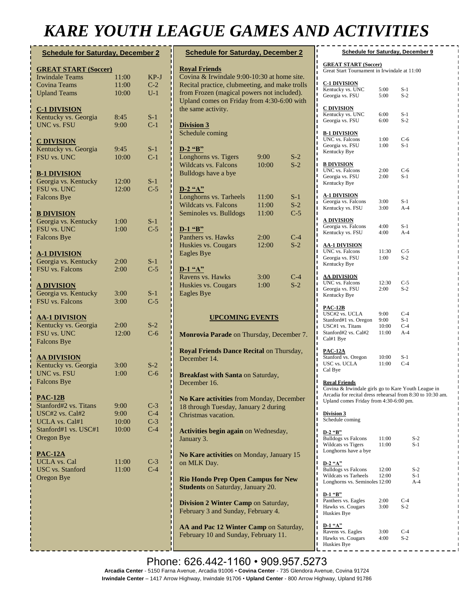## *KARE YOUTH LEAGUE GAMES AND ACTIVITIES*

| <b>Schedule for Saturday, December 2</b> |       |       |  |
|------------------------------------------|-------|-------|--|
| <b>GREAT START (Soccer)</b>              |       |       |  |
| <b>Irwindale Teams</b>                   | 11:00 | KP-J  |  |
| <b>Covina Teams</b>                      | 11:00 | $C-2$ |  |
| <b>Upland Teams</b>                      | 10:00 | $U-1$ |  |
| <b>C-1 DIVISION</b>                      |       |       |  |
| Kentucky vs. Georgia                     | 8:45  | $S-1$ |  |
| <b>UNC vs. FSU</b>                       | 9:00  | $C-1$ |  |
| <b>C DIVISION</b>                        |       |       |  |
| Kentucky vs. Georgia                     | 9:45  | S-1   |  |
| <b>FSU vs. UNC</b>                       | 10:00 | $C-1$ |  |
| <b>B-1 DIVISION</b>                      |       |       |  |
| Georgia vs. Kentucky                     | 12:00 | $S-1$ |  |
| FSU vs. UNC<br><b>Falcons Bye</b>        | 12:00 | $C-5$ |  |
| <b>B DIVISION</b>                        |       |       |  |
| Georgia vs. Kentucky                     | 1:00  | $S-1$ |  |
| FSU vs. UNC                              | 1:00  | $C-5$ |  |
| <b>Falcons Bye</b>                       |       |       |  |
| <b>A-1 DIVISION</b>                      |       |       |  |
| Georgia vs. Kentucky                     | 2:00  | $S-1$ |  |
| <b>FSU</b> vs. Falcons                   | 2:00  | $C-5$ |  |
| <u>A DIVISION</u>                        |       |       |  |
| Georgia vs. Kentucky                     | 3:00  | $S-1$ |  |
| <b>FSU</b> vs. Falcons                   | 3:00  | $C-5$ |  |
| <b>AA-1 DIVISION</b>                     |       |       |  |
| Kentucky vs. Georgia                     | 2:00  | $S-2$ |  |
| FSU vs. UNC                              | 12:00 | $C-6$ |  |
| <b>Falcons Bye</b>                       |       |       |  |
| <b>AA DIVISION</b>                       |       |       |  |
| Kentucky vs. Georgia                     | 3:00  | $S-2$ |  |
| UNC vs. FSU                              | 1:00  | $C-6$ |  |
| <b>Falcons Bye</b>                       |       |       |  |
| $PAC-12B$<br>Stanford#2 vs. Titans       | 9:00  | $C-3$ |  |
| USC#2 vs. Cal#2                          | 9:00  | $C-4$ |  |
| UCLA vs. Cal#1                           | 10:00 | $C-3$ |  |
| Stanford#1 vs. USC#1                     | 10:00 | $C-4$ |  |
| <b>Oregon Bye</b>                        |       |       |  |
| <b>PAC-12A</b>                           |       |       |  |
| <b>UCLA</b> vs. Cal                      | 11:00 | $C-3$ |  |
| <b>USC</b> vs. Stanford                  | 11:00 | $C-4$ |  |
| Oregon Bye                               |       |       |  |
|                                          |       |       |  |
|                                          |       |       |  |
|                                          |       |       |  |
|                                          |       |       |  |

| <b>Schedule for Saturday, December 2</b>                                                                                                                                                                                                |                         |                         |  |  |
|-----------------------------------------------------------------------------------------------------------------------------------------------------------------------------------------------------------------------------------------|-------------------------|-------------------------|--|--|
| <b>Royal Friends</b><br>Covina & Irwindale 9:00-10:30 at home site.<br>Recital practice, clubmeeting, and make trolls<br>from Frozen (magical powers not included).<br>Upland comes on Friday from 4:30-6:00 with<br>the same activity. |                         |                         |  |  |
| <b>Division 3</b><br>Schedule coming                                                                                                                                                                                                    |                         |                         |  |  |
| $D-2$ "B"<br>Longhorns vs. Tigers<br><b>Wildcats vs. Falcons</b><br><b>Bulldogs have a bye</b>                                                                                                                                          | 9:00<br>10:00           | $S-2$<br>$S-2$          |  |  |
| $D-2$ "A"<br>Longhorns vs. Tarheels<br><b>Wildcats vs. Falcons</b><br>Seminoles vs. Bulldogs                                                                                                                                            | 11:00<br>11:00<br>11:00 | $S-1$<br>$S-2$<br>$C-5$ |  |  |
| D-1 "B"<br>Panthers vs. Hawks<br>Huskies vs. Cougars<br><b>Eagles Bye</b>                                                                                                                                                               | 2:00<br>12:00           | $C-4$<br>$S-2$          |  |  |
| $D-1$ "A"<br>Ravens vs. Hawks<br>Huskies vs. Cougars<br><b>Eagles Bye</b>                                                                                                                                                               | 3:00<br>1:00            | $C-4$<br>$S-2$          |  |  |
| <b>UPCOMING EVENTS</b>                                                                                                                                                                                                                  |                         |                         |  |  |
| Monrovia Parade on Thursday, December 7.                                                                                                                                                                                                |                         |                         |  |  |
| Royal Friends Dance Recital on Thursday,<br>December 14.                                                                                                                                                                                |                         |                         |  |  |
| Breakfast with Santa on Saturday,<br>December 16.                                                                                                                                                                                       |                         |                         |  |  |
| No Kare activities from Monday, December<br>18 through Tuesday, January 2 during<br>Christmas vacation.                                                                                                                                 |                         |                         |  |  |
| Activities begin again on Wednesday,<br>January 3.                                                                                                                                                                                      |                         |                         |  |  |
| No Kare activities on Monday, January 15<br>on MLK Day.                                                                                                                                                                                 |                         |                         |  |  |
| <b>Rio Hondo Prep Open Campus for New</b><br><b>Students on Saturday, January 20.</b>                                                                                                                                                   |                         |                         |  |  |
| Division 2 Winter Camp on Saturday,<br>February 3 and Sunday, February 4.                                                                                                                                                               |                         |                         |  |  |
| AA and Pac 12 Winter Camp on Saturday,                                                                                                                                                                                                  |                         |                         |  |  |

| ı<br><b>Schedule for Saturday, December 9</b><br>ı                                                                                                                                                           |                                |                                |  |
|--------------------------------------------------------------------------------------------------------------------------------------------------------------------------------------------------------------|--------------------------------|--------------------------------|--|
| ı<br><b>GREAT START (Soccer)</b><br>ı<br>Great Start Tournament in Irwindale at 11:00<br>ı                                                                                                                   |                                |                                |  |
| ī<br><u>C-1 DIVISION</u><br>ı<br>ı<br>Kentucky vs. UNC<br>ı<br>Georgia vs. FSU                                                                                                                               | 5:00<br>5:00                   | $S-1$<br>$S-2$                 |  |
| ı<br>ı<br><b>C DIVISION</b><br>ı<br>Kentucky vs. UNC<br>ı<br>Georgia vs. FSU<br>ı                                                                                                                            | 6:00<br>6:00                   | $S-1$<br>$S-2$                 |  |
| Π<br>ı<br><b>B-1 DIVISION</b><br>ı<br>UNC vs. Falcons<br>ı<br>Georgia vs. FSU<br>ı<br>Kentucky Bye<br>ī                                                                                                      | 1:00<br>1:00                   | C-6<br>S-1                     |  |
| ı<br><b>B DIVISION</b><br>ı<br>ı<br>UNC vs. Falcons<br>ı<br>Georgia vs. FSU<br>ı<br>Kentucky Bye<br>ī                                                                                                        | 2:00<br>2:00                   | C-6<br>$S-1$                   |  |
| Π<br><b>A-1 DIVISION</b><br>ı<br>Georgia vs. Falcons<br>ı<br>Kentucky vs. FSU<br>ı<br>ı                                                                                                                      | 3:00<br>3:00                   | $S-1$<br>$A-4$                 |  |
| ı<br><u>A DIVISION</u><br>Π<br>Georgia vs. Falcons<br>ı<br>Kentucky vs. FSU<br>ı                                                                                                                             | 4:00<br>4:00                   | $S-1$<br>$A-4$                 |  |
| ī<br><b>AA-1 DIVISION</b><br>ı<br>UNC vs. Falcons<br>ı<br>ı<br>Georgia vs. FSU<br>ı<br>Kentucky Bye<br>ı                                                                                                     | 11:30<br>1:00                  | $C-5$<br>$S-2$                 |  |
| ī<br><u>AA DIVISION</u><br>ı<br>UNC vs. Falcons<br>П<br>Georgia vs. FSU<br>ı<br>ı<br>Kentucky Bye<br>ı                                                                                                       | 12:30<br>2:00                  | C-5<br>$S-2$                   |  |
| ı<br><b>PAC-12B</b><br>ı<br>USC#2 vs. UCLA<br>ī<br>Stanford#1 vs. Oregon<br>Π<br>USC#1 vs. Titans<br>ı<br>Stanford#2 vs. Cal#2<br>ı<br>ı<br>Cal#1 Bye<br>ı                                                   | 9:00<br>9:00<br>10:00<br>11:00 | $C-4$<br>$S-1$<br>C-4<br>$A-4$ |  |
| ı<br><u>PAC-12A</u><br>Π<br>Stanford vs. Oregon<br>ı<br>USC vs. UCLA<br>ı<br>Cal Bye<br>ī                                                                                                                    | 10:00<br>11:00                 | S-1<br>$C-4$                   |  |
| ı<br>ı<br><u>Royal Friends</u><br>Π<br>Covina & Irwindale girls go to Kare Youth League in<br>Arcadia for recital dress rehearsal from 8:30 to 10:30 am.<br>ı<br>Upland comes Friday from 4:30-6:00 pm.<br>ı |                                |                                |  |
| ı<br><b>Division 3</b><br>ı<br>ı<br>Schedule coming<br>ı                                                                                                                                                     |                                |                                |  |
| ı<br>$D-2$ "B"<br>ı<br><b>Bulldogs vs Falcons</b><br>ı<br><b>Wildcats vs Tigers</b><br>ı<br>Longhorns have a bye<br>ı<br>ı                                                                                   | 11:00<br>11:00                 | S-2<br>$S-1$                   |  |
| ı<br>D-2 "A"<br>ı<br><b>Bulldogs vs Falcons</b><br>ı<br>Wildcats vs Tarheels<br>ı<br>Longhorns vs. Seminoles 12:00<br>ı                                                                                      | 12:00<br>12:00                 | $S-2$<br>S-1<br>$A-4$          |  |
| ı<br>D-1 "B"<br>ı<br>ı<br>Panthers vs. Eagles<br>ı<br>Hawks vs. Cougars<br>ı<br>Huskies Bye<br>ı                                                                                                             | 2:00<br>3:00                   | C-4<br>$S-2$                   |  |
| ı<br>$D-1$ "A"<br>ı<br>Ravens vs. Eagles<br>ı<br>Hawks vs. Cougars<br>ı<br>ı<br>Huskies Bye                                                                                                                  | 3:00<br>4:00                   | $C-4$<br>$S-2$                 |  |

Phone: 626.442-1160 · 909.957.5273 **Arcadia Center** - 5150 Farna Avenue, Arcadia 91006 • **Covina Center** - 735 Glendora Avenue, Covina 91724 Irwindale Center – 1417 Arrow Highway, Irwindale 91706 • Upland Center - 800 Arrow Highway, Upland 91786 Fig.  $m_{\text{S}}$ , February 19.19. The Sphanic Content  $\frac{1}{2}$ .

**Division 1 Winter Camp** from Friday,

February 10 and Sunday, February 11.